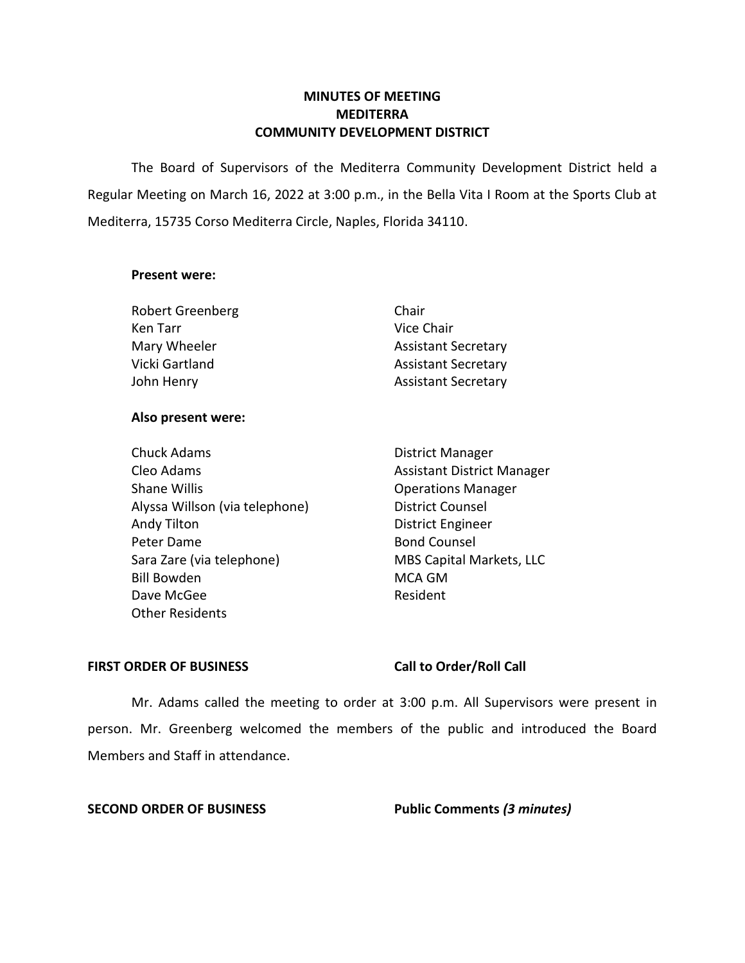### **MINUTES OF MEETING MEDITERRA COMMUNITY DEVELOPMENT DISTRICT**

The Board of Supervisors of the Mediterra Community Development District held a Regular Meeting on March 16, 2022 at 3:00 p.m., in the Bella Vita I Room at the Sports Club at Mediterra, 15735 Corso Mediterra Circle, Naples, Florida 34110.

#### **Present were:**

| <b>Robert Greenberg</b> | Chair                      |
|-------------------------|----------------------------|
| Ken Tarr                | Vice Chair                 |
| Mary Wheeler            | <b>Assistant Secretary</b> |
| Vicki Gartland          | <b>Assistant Secretary</b> |
| John Henry              | <b>Assistant Secretary</b> |

#### **Also present were:**

| <b>Chuck Adams</b>             | District Manager                  |
|--------------------------------|-----------------------------------|
| Cleo Adams                     | <b>Assistant District Manager</b> |
| <b>Shane Willis</b>            | <b>Operations Manager</b>         |
| Alyssa Willson (via telephone) | <b>District Counsel</b>           |
| Andy Tilton                    | <b>District Engineer</b>          |
| Peter Dame                     | <b>Bond Counsel</b>               |
| Sara Zare (via telephone)      | MBS Capital Markets, LLC          |
| <b>Bill Bowden</b>             | <b>MCA GM</b>                     |
| Dave McGee                     | Resident                          |
| <b>Other Residents</b>         |                                   |

### FIRST ORDER OF BUSINESS Call to Order/Roll Call

Mr. Adams called the meeting to order at 3:00 p.m. All Supervisors were present in person. Mr. Greenberg welcomed the members of the public and introduced the Board Members and Staff in attendance.

**SECOND ORDER OF BUSINESS Public Comments** *(3 minutes)*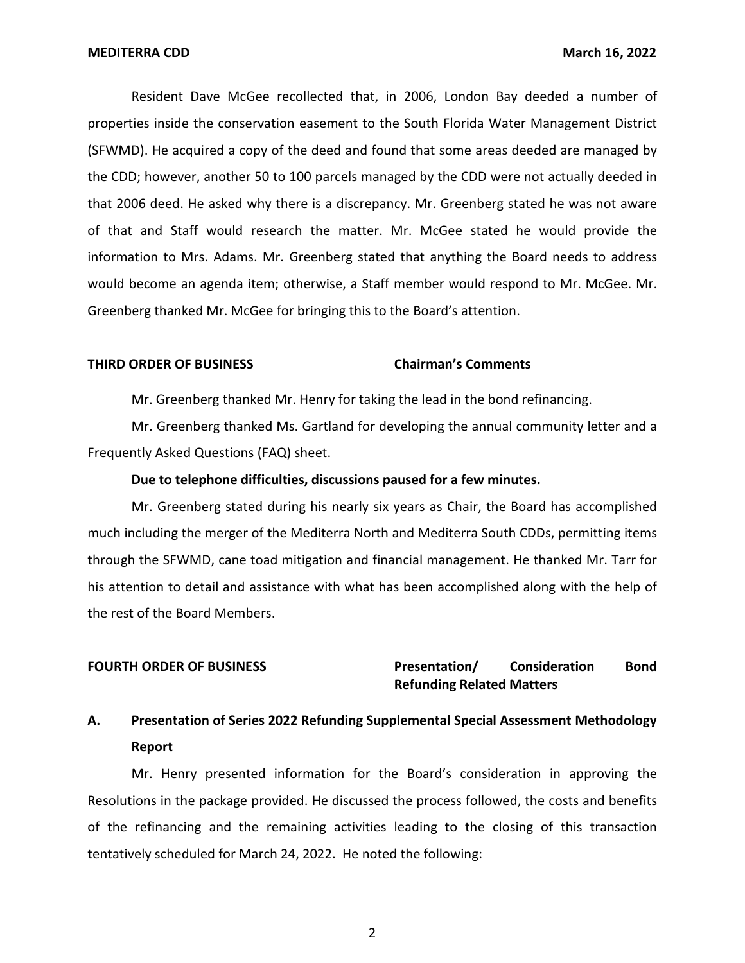Resident Dave McGee recollected that, in 2006, London Bay deeded a number of properties inside the conservation easement to the South Florida Water Management District (SFWMD). He acquired a copy of the deed and found that some areas deeded are managed by the CDD; however, another 50 to 100 parcels managed by the CDD were not actually deeded in that 2006 deed. He asked why there is a discrepancy. Mr. Greenberg stated he was not aware of that and Staff would research the matter. Mr. McGee stated he would provide the information to Mrs. Adams. Mr. Greenberg stated that anything the Board needs to address would become an agenda item; otherwise, a Staff member would respond to Mr. McGee. Mr. Greenberg thanked Mr. McGee for bringing this to the Board's attention.

#### **THIRD ORDER OF BUSINESS Chairman's Comments**

Mr. Greenberg thanked Mr. Henry for taking the lead in the bond refinancing.

Mr. Greenberg thanked Ms. Gartland for developing the annual community letter and a Frequently Asked Questions (FAQ) sheet.

#### **Due to telephone difficulties, discussions paused for a few minutes.**

Mr. Greenberg stated during his nearly six years as Chair, the Board has accomplished much including the merger of the Mediterra North and Mediterra South CDDs, permitting items through the SFWMD, cane toad mitigation and financial management. He thanked Mr. Tarr for his attention to detail and assistance with what has been accomplished along with the help of the rest of the Board Members.

#### **FOURTH ORDER OF BUSINESS Presentation/ Consideration Bond Refunding Related Matters**

# **A. Presentation of Series 2022 Refunding Supplemental Special Assessment Methodology Report**

Mr. Henry presented information for the Board's consideration in approving the Resolutions in the package provided. He discussed the process followed, the costs and benefits of the refinancing and the remaining activities leading to the closing of this transaction tentatively scheduled for March 24, 2022. He noted the following: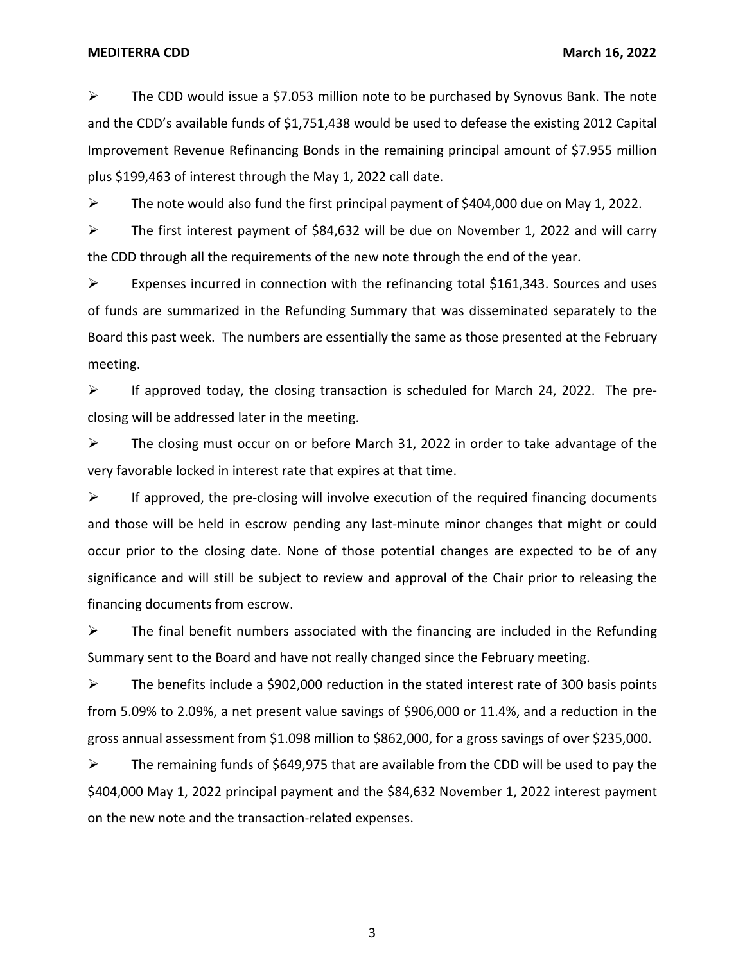$\triangleright$  The CDD would issue a \$7.053 million note to be purchased by Synovus Bank. The note and the CDD's available funds of \$1,751,438 would be used to defease the existing 2012 Capital Improvement Revenue Refinancing Bonds in the remaining principal amount of \$7.955 million plus \$199,463 of interest through the May 1, 2022 call date.

➢ The note would also fund the first principal payment of \$404,000 due on May 1, 2022.

 $\triangleright$  The first interest payment of \$84,632 will be due on November 1, 2022 and will carry the CDD through all the requirements of the new note through the end of the year.

➢ Expenses incurred in connection with the refinancing total \$161,343. Sources and uses of funds are summarized in the Refunding Summary that was disseminated separately to the Board this past week. The numbers are essentially the same as those presented at the February meeting.

 $\triangleright$  If approved today, the closing transaction is scheduled for March 24, 2022. The preclosing will be addressed later in the meeting.

 $\triangleright$  The closing must occur on or before March 31, 2022 in order to take advantage of the very favorable locked in interest rate that expires at that time.

 $\triangleright$  If approved, the pre-closing will involve execution of the required financing documents and those will be held in escrow pending any last-minute minor changes that might or could occur prior to the closing date. None of those potential changes are expected to be of any significance and will still be subject to review and approval of the Chair prior to releasing the financing documents from escrow.

 $\triangleright$  The final benefit numbers associated with the financing are included in the Refunding Summary sent to the Board and have not really changed since the February meeting.

➢ The benefits include a \$902,000 reduction in the stated interest rate of 300 basis points from 5.09% to 2.09%, a net present value savings of \$906,000 or 11.4%, and a reduction in the gross annual assessment from \$1.098 million to \$862,000, for a gross savings of over \$235,000.

 $\triangleright$  The remaining funds of \$649,975 that are available from the CDD will be used to pay the \$404,000 May 1, 2022 principal payment and the \$84,632 November 1, 2022 interest payment on the new note and the transaction-related expenses.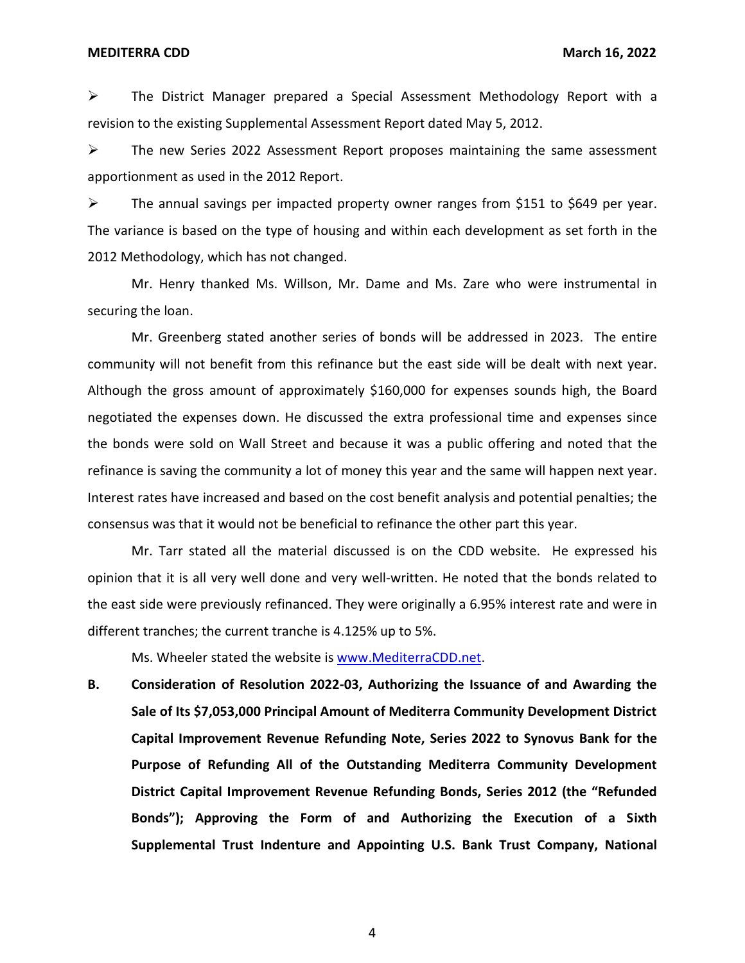$\triangleright$  The District Manager prepared a Special Assessment Methodology Report with a revision to the existing Supplemental Assessment Report dated May 5, 2012.

 $\triangleright$  The new Series 2022 Assessment Report proposes maintaining the same assessment apportionment as used in the 2012 Report.

➢ The annual savings per impacted property owner ranges from \$151 to \$649 per year. The variance is based on the type of housing and within each development as set forth in the 2012 Methodology, which has not changed.

Mr. Henry thanked Ms. Willson, Mr. Dame and Ms. Zare who were instrumental in securing the loan.

Mr. Greenberg stated another series of bonds will be addressed in 2023. The entire community will not benefit from this refinance but the east side will be dealt with next year. Although the gross amount of approximately \$160,000 for expenses sounds high, the Board negotiated the expenses down. He discussed the extra professional time and expenses since the bonds were sold on Wall Street and because it was a public offering and noted that the refinance is saving the community a lot of money this year and the same will happen next year. Interest rates have increased and based on the cost benefit analysis and potential penalties; the consensus was that it would not be beneficial to refinance the other part this year.

Mr. Tarr stated all the material discussed is on the CDD website. He expressed his opinion that it is all very well done and very well-written. He noted that the bonds related to the east side were previously refinanced. They were originally a 6.95% interest rate and were in different tranches; the current tranche is 4.125% up to 5%.

Ms. Wheeler stated the website is [www.MediterraCDD.net.](http://www.mediterracdd.net/)

 **District Capital Improvement Revenue Refunding Bonds, Series 2012 (the "Refunded Bonds"); Approving the Form of and Authorizing the Execution of a Sixth B. Consideration of Resolution 2022-03, Authorizing the Issuance of and Awarding the Sale of Its \$7,053,000 Principal Amount of Mediterra Community Development District Capital Improvement Revenue Refunding Note, Series 2022 to Synovus Bank for the Purpose of Refunding All of the Outstanding Mediterra Community Development Supplemental Trust Indenture and Appointing U.S. Bank Trust Company, National**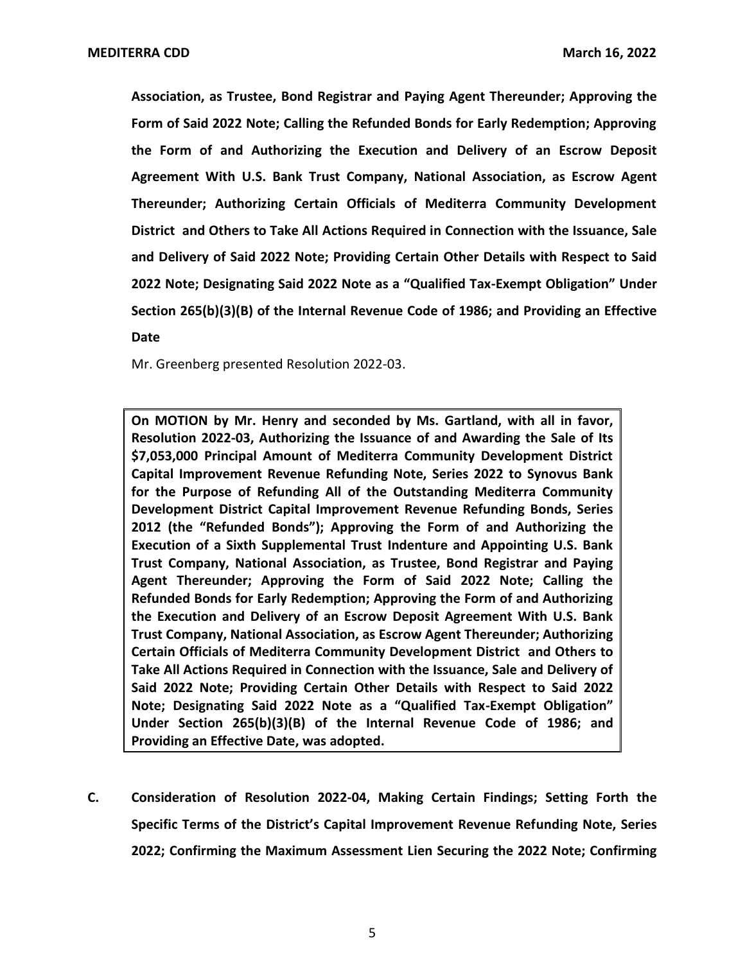**2022 Note; Designating Said 2022 Note as a "Qualified Tax-Exempt Obligation" Under Association, as Trustee, Bond Registrar and Paying Agent Thereunder; Approving the Form of Said 2022 Note; Calling the Refunded Bonds for Early Redemption; Approving the Form of and Authorizing the Execution and Delivery of an Escrow Deposit Agreement With U.S. Bank Trust Company, National Association, as Escrow Agent Thereunder; Authorizing Certain Officials of Mediterra Community Development District and Others to Take All Actions Required in Connection with the Issuance, Sale and Delivery of Said 2022 Note; Providing Certain Other Details with Respect to Said Section 265(b)(3)(B) of the Internal Revenue Code of 1986; and Providing an Effective Date** 

Mr. Greenberg presented Resolution 2022-03.

 **2012 (the "Refunded Bonds"); Approving the Form of and Authorizing the Note; Designating Said 2022 Note as a "Qualified Tax-Exempt Obligation" On MOTION by Mr. Henry and seconded by Ms. Gartland, with all in favor, Resolution 2022-03, Authorizing the Issuance of and Awarding the Sale of Its \$7,053,000 Principal Amount of Mediterra Community Development District Capital Improvement Revenue Refunding Note, Series 2022 to Synovus Bank for the Purpose of Refunding All of the Outstanding Mediterra Community Development District Capital Improvement Revenue Refunding Bonds, Series Execution of a Sixth Supplemental Trust Indenture and Appointing U.S. Bank Trust Company, National Association, as Trustee, Bond Registrar and Paying Agent Thereunder; Approving the Form of Said 2022 Note; Calling the Refunded Bonds for Early Redemption; Approving the Form of and Authorizing the Execution and Delivery of an Escrow Deposit Agreement With U.S. Bank Trust Company, National Association, as Escrow Agent Thereunder; Authorizing Certain Officials of Mediterra Community Development District and Others to Take All Actions Required in Connection with the Issuance, Sale and Delivery of Said 2022 Note; Providing Certain Other Details with Respect to Said 2022 Under Section 265(b)(3)(B) of the Internal Revenue Code of 1986; and Providing an Effective Date, was adopted.** 

 **Specific Terms of the District's Capital Improvement Revenue Refunding Note, Series C. Consideration of Resolution 2022-04, Making Certain Findings; Setting Forth the 2022; Confirming the Maximum Assessment Lien Securing the 2022 Note; Confirming**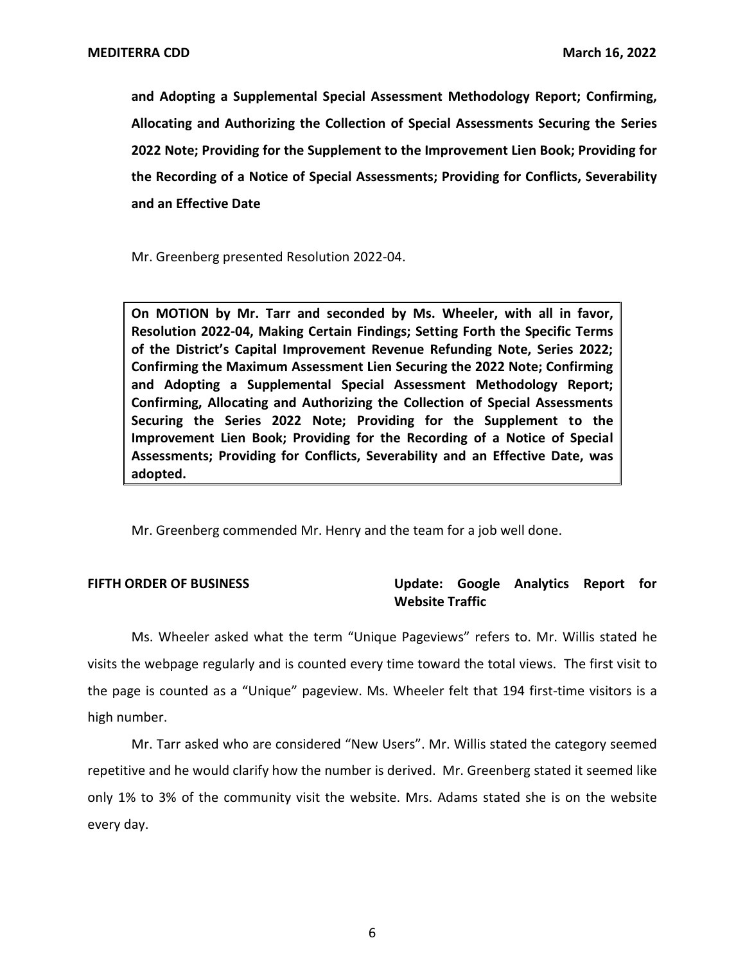**and Adopting a Supplemental Special Assessment Methodology Report; Confirming, Allocating and Authorizing the Collection of Special Assessments Securing the Series 2022 Note; Providing for the Supplement to the Improvement Lien Book; Providing for the Recording of a Notice of Special Assessments; Providing for Conflicts, Severability and an Effective Date** 

Mr. Greenberg presented Resolution 2022-04.

 **of the District's Capital Improvement Revenue Refunding Note, Series 2022; On MOTION by Mr. Tarr and seconded by Ms. Wheeler, with all in favor, Resolution 2022-04, Making Certain Findings; Setting Forth the Specific Terms Confirming the Maximum Assessment Lien Securing the 2022 Note; Confirming and Adopting a Supplemental Special Assessment Methodology Report; Confirming, Allocating and Authorizing the Collection of Special Assessments Securing the Series 2022 Note; Providing for the Supplement to the Improvement Lien Book; Providing for the Recording of a Notice of Special Assessments; Providing for Conflicts, Severability and an Effective Date, was adopted.** 

Mr. Greenberg commended Mr. Henry and the team for a job well done.

### **FIFTH ORDER OF BUSINESS Update: Google Analytics Report for Website Traffic**

Ms. Wheeler asked what the term "Unique Pageviews" refers to. Mr. Willis stated he visits the webpage regularly and is counted every time toward the total views. The first visit to the page is counted as a "Unique" pageview. Ms. Wheeler felt that 194 first-time visitors is a high number.

Mr. Tarr asked who are considered "New Users". Mr. Willis stated the category seemed repetitive and he would clarify how the number is derived. Mr. Greenberg stated it seemed like only 1% to 3% of the community visit the website. Mrs. Adams stated she is on the website every day.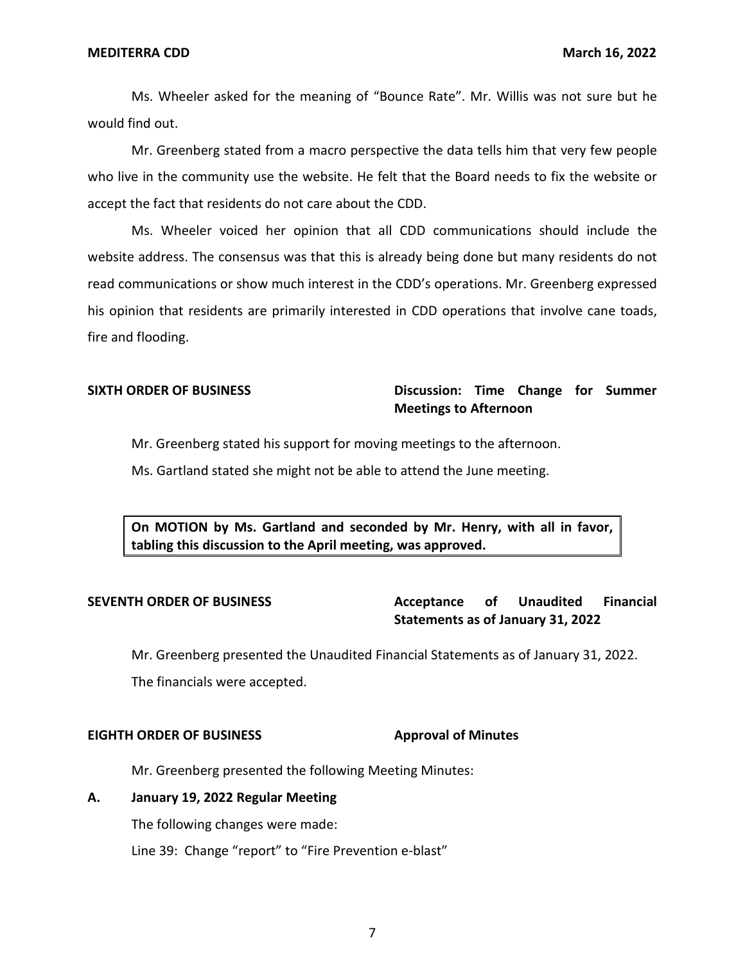Ms. Wheeler asked for the meaning of "Bounce Rate". Mr. Willis was not sure but he would find out.

Mr. Greenberg stated from a macro perspective the data tells him that very few people who live in the community use the website. He felt that the Board needs to fix the website or accept the fact that residents do not care about the CDD.

Ms. Wheeler voiced her opinion that all CDD communications should include the website address. The consensus was that this is already being done but many residents do not read communications or show much interest in the CDD's operations. Mr. Greenberg expressed his opinion that residents are primarily interested in CDD operations that involve cane toads, fire and flooding.

### **SIXTH ORDER OF BUSINESS Discussion: Time Change for Summer Meetings to Afternoon**

Mr. Greenberg stated his support for moving meetings to the afternoon.

Ms. Gartland stated she might not be able to attend the June meeting.

**On MOTION by Ms. Gartland and seconded by Mr. Henry, with all in favor, tabling this discussion to the April meeting, was approved.** 

## **SEVENTH ORDER OF BUSINESS Acceptance of Unaudited Financial Statements as of January 31, 2022**

Mr. Greenberg presented the Unaudited Financial Statements as of January 31, 2022. The financials were accepted.

#### **EIGHTH ORDER OF BUSINESS Approval of Minutes**

Mr. Greenberg presented the following Meeting Minutes:

#### **A. January 19, 2022 Regular Meeting**

The following changes were made:

Line 39: Change "report" to "Fire Prevention e-blast"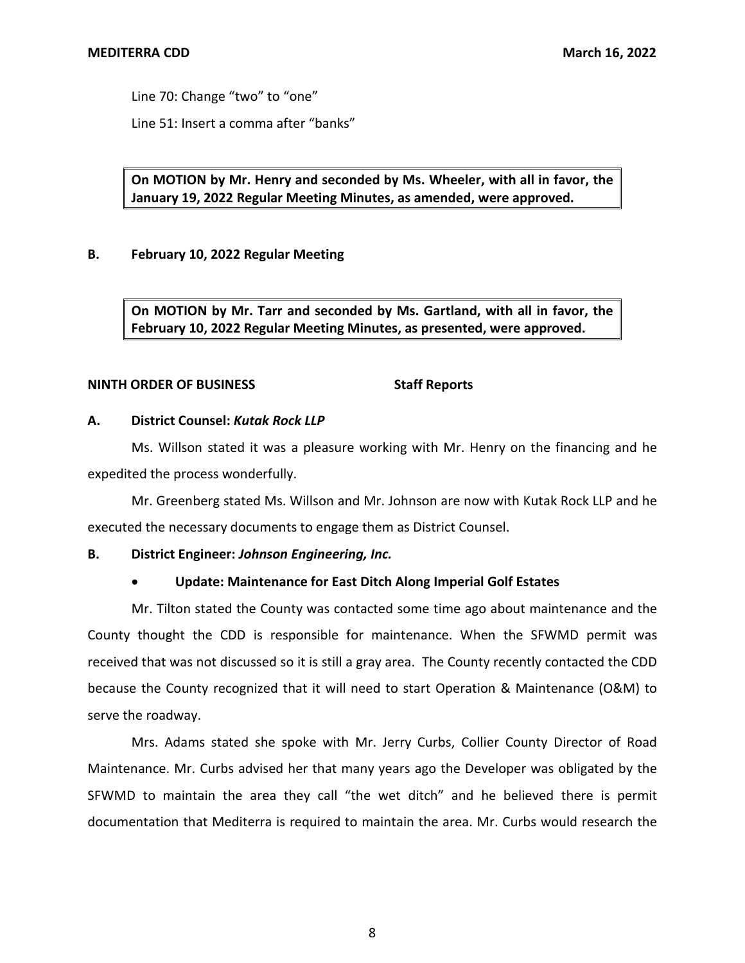Line 70: Change "two" to "one"

Line 51: Insert a comma after "banks"

**On MOTION by Mr. Henry and seconded by Ms. Wheeler, with all in favor, the January 19, 2022 Regular Meeting Minutes, as amended, were approved.** 

### **B. February 10, 2022 Regular Meeting**

**On MOTION by Mr. Tarr and seconded by Ms. Gartland, with all in favor, the February 10, 2022 Regular Meeting Minutes, as presented, were approved.** 

#### **NINTH ORDER OF BUSINESS** Staff Reports

#### **A. District Counsel:** *Kutak Rock LLP*

Ms. Willson stated it was a pleasure working with Mr. Henry on the financing and he expedited the process wonderfully.

Mr. Greenberg stated Ms. Willson and Mr. Johnson are now with Kutak Rock LLP and he executed the necessary documents to engage them as District Counsel.

### **B. District Engineer:** *Johnson Engineering, Inc.*

### • **Update: Maintenance for East Ditch Along Imperial Golf Estates**

Mr. Tilton stated the County was contacted some time ago about maintenance and the County thought the CDD is responsible for maintenance. When the SFWMD permit was received that was not discussed so it is still a gray area. The County recently contacted the CDD because the County recognized that it will need to start Operation & Maintenance (O&M) to serve the roadway.

Mrs. Adams stated she spoke with Mr. Jerry Curbs, Collier County Director of Road Maintenance. Mr. Curbs advised her that many years ago the Developer was obligated by the SFWMD to maintain the area they call "the wet ditch" and he believed there is permit documentation that Mediterra is required to maintain the area. Mr. Curbs would research the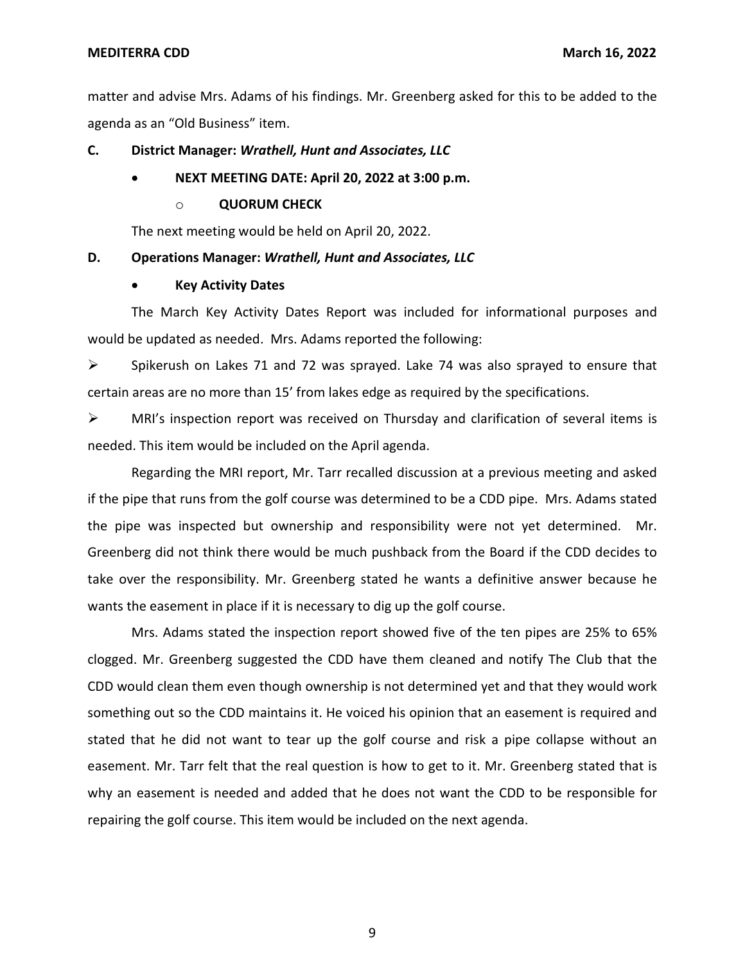matter and advise Mrs. Adams of his findings. Mr. Greenberg asked for this to be added to the agenda as an "Old Business" item.

#### **C. District Manager:** *Wrathell, Hunt and Associates, LLC*

#### • **NEXT MEETING DATE: April 20, 2022 at 3:00 p.m.**

#### o **QUORUM CHECK**

The next meeting would be held on April 20, 2022.

#### **D. Operations Manager:** *Wrathell, Hunt and Associates, LLC*

#### • **Key Activity Dates**

The March Key Activity Dates Report was included for informational purposes and would be updated as needed. Mrs. Adams reported the following:

 $\triangleright$  Spikerush on Lakes 71 and 72 was sprayed. Lake 74 was also sprayed to ensure that certain areas are no more than 15' from lakes edge as required by the specifications.

 $\triangleright$  MRI's inspection report was received on Thursday and clarification of several items is needed. This item would be included on the April agenda.

Regarding the MRI report, Mr. Tarr recalled discussion at a previous meeting and asked if the pipe that runs from the golf course was determined to be a CDD pipe. Mrs. Adams stated the pipe was inspected but ownership and responsibility were not yet determined. Mr. Greenberg did not think there would be much pushback from the Board if the CDD decides to take over the responsibility. Mr. Greenberg stated he wants a definitive answer because he wants the easement in place if it is necessary to dig up the golf course.

Mrs. Adams stated the inspection report showed five of the ten pipes are 25% to 65% clogged. Mr. Greenberg suggested the CDD have them cleaned and notify The Club that the CDD would clean them even though ownership is not determined yet and that they would work something out so the CDD maintains it. He voiced his opinion that an easement is required and stated that he did not want to tear up the golf course and risk a pipe collapse without an easement. Mr. Tarr felt that the real question is how to get to it. Mr. Greenberg stated that is why an easement is needed and added that he does not want the CDD to be responsible for repairing the golf course. This item would be included on the next agenda.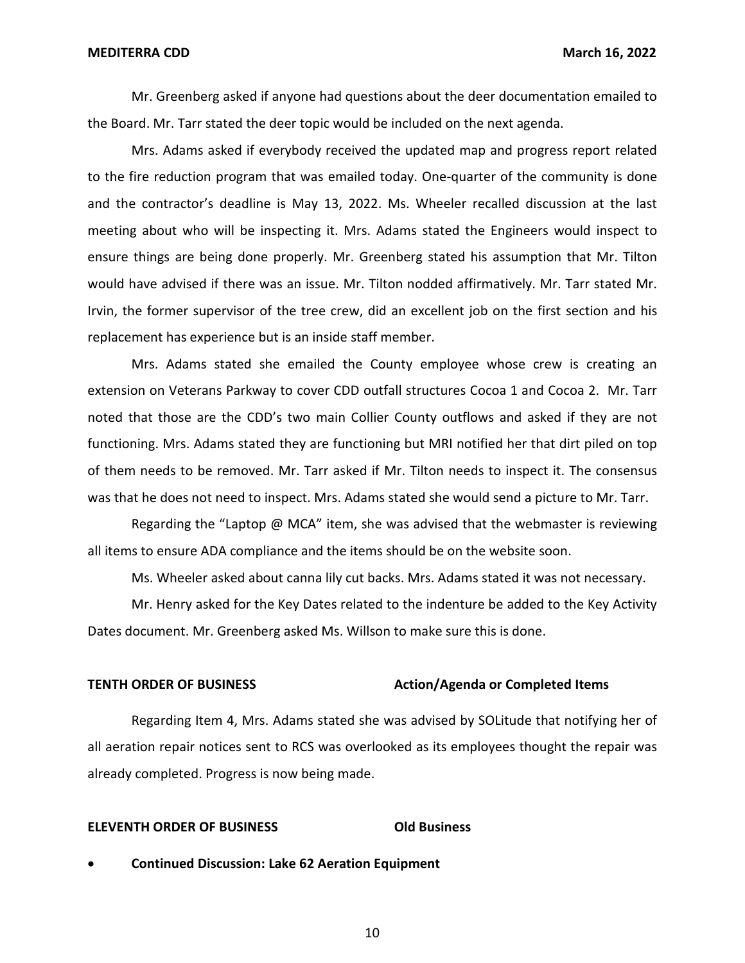Mr. Greenberg asked if anyone had questions about the deer documentation emailed to the Board. Mr. Tarr stated the deer topic would be included on the next agenda.

Mrs. Adams asked if everybody received the updated map and progress report related to the fire reduction program that was emailed today. One-quarter of the community is done and the contractor's deadline is May 13, 2022. Ms. Wheeler recalled discussion at the last meeting about who will be inspecting it. Mrs. Adams stated the Engineers would inspect to ensure things are being done properly. Mr. Greenberg stated his assumption that Mr. Tilton would have advised if there was an issue. Mr. Tilton nodded affirmatively. Mr. Tarr stated Mr. Irvin, the former supervisor of the tree crew, did an excellent job on the first section and his replacement has experience but is an inside staff member.

Mrs. Adams stated she emailed the County employee whose crew is creating an extension on Veterans Parkway to cover CDD outfall structures Cocoa 1 and Cocoa 2. Mr. Tarr noted that those are the CDD's two main Collier County outflows and asked if they are not functioning. Mrs. Adams stated they are functioning but MRI notified her that dirt piled on top of them needs to be removed. Mr. Tarr asked if Mr. Tilton needs to inspect it. The consensus was that he does not need to inspect. Mrs. Adams stated she would send a picture to Mr. Tarr.

Regarding the "Laptop @ MCA" item, she was advised that the webmaster is reviewing all items to ensure ADA compliance and the items should be on the website soon.

Ms. Wheeler asked about canna lily cut backs. Mrs. Adams stated it was not necessary.

Mr. Henry asked for the Key Dates related to the indenture be added to the Key Activity Dates document. Mr. Greenberg asked Ms. Willson to make sure this is done.

#### **TENTH ORDER OF BUSINESS** Action/Agenda or Completed Items

Regarding Item 4, Mrs. Adams stated she was advised by SOLitude that notifying her of all aeration repair notices sent to RCS was overlooked as its employees thought the repair was already completed. Progress is now being made.

#### **ELEVENTH ORDER OF BUSINESS Old Business**

• **Continued Discussion: Lake 62 Aeration Equipment**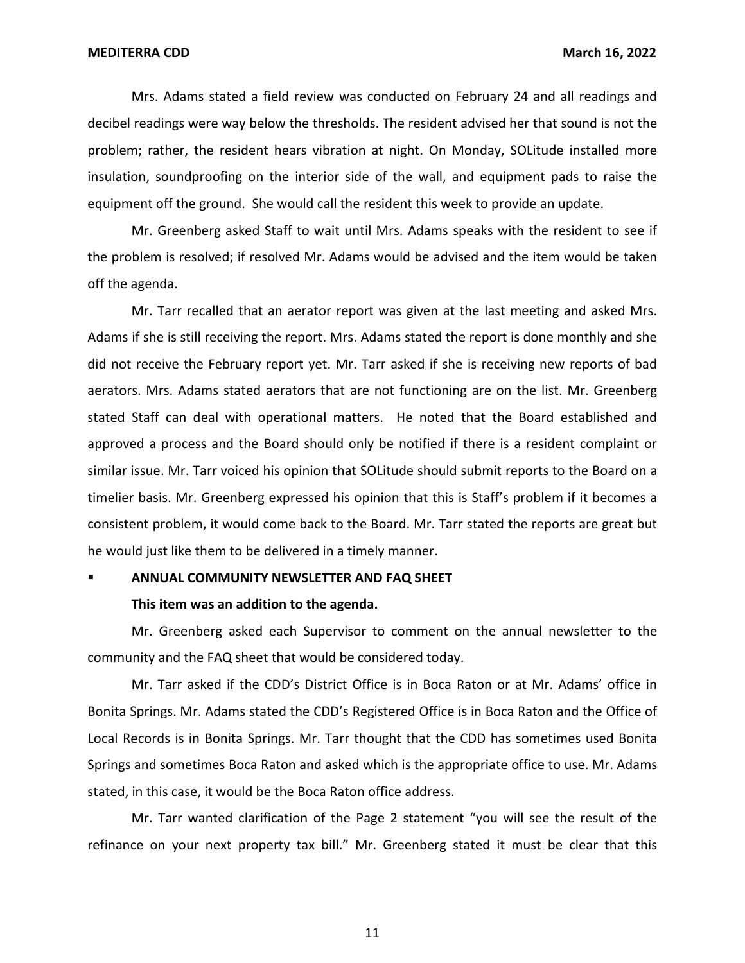Mrs. Adams stated a field review was conducted on February 24 and all readings and decibel readings were way below the thresholds. The resident advised her that sound is not the problem; rather, the resident hears vibration at night. On Monday, SOLitude installed more insulation, soundproofing on the interior side of the wall, and equipment pads to raise the equipment off the ground. She would call the resident this week to provide an update.

Mr. Greenberg asked Staff to wait until Mrs. Adams speaks with the resident to see if the problem is resolved; if resolved Mr. Adams would be advised and the item would be taken off the agenda.

Mr. Tarr recalled that an aerator report was given at the last meeting and asked Mrs. Adams if she is still receiving the report. Mrs. Adams stated the report is done monthly and she did not receive the February report yet. Mr. Tarr asked if she is receiving new reports of bad aerators. Mrs. Adams stated aerators that are not functioning are on the list. Mr. Greenberg stated Staff can deal with operational matters. He noted that the Board established and approved a process and the Board should only be notified if there is a resident complaint or similar issue. Mr. Tarr voiced his opinion that SOLitude should submit reports to the Board on a timelier basis. Mr. Greenberg expressed his opinion that this is Staff's problem if it becomes a consistent problem, it would come back to the Board. Mr. Tarr stated the reports are great but he would just like them to be delivered in a timely manner.

#### ▪ **ANNUAL COMMUNITY NEWSLETTER AND FAQ SHEET**

#### **This item was an addition to the agenda.**

Mr. Greenberg asked each Supervisor to comment on the annual newsletter to the community and the FAQ sheet that would be considered today.

Mr. Tarr asked if the CDD's District Office is in Boca Raton or at Mr. Adams' office in Bonita Springs. Mr. Adams stated the CDD's Registered Office is in Boca Raton and the Office of Local Records is in Bonita Springs. Mr. Tarr thought that the CDD has sometimes used Bonita Springs and sometimes Boca Raton and asked which is the appropriate office to use. Mr. Adams stated, in this case, it would be the Boca Raton office address.

Mr. Tarr wanted clarification of the Page 2 statement "you will see the result of the refinance on your next property tax bill." Mr. Greenberg stated it must be clear that this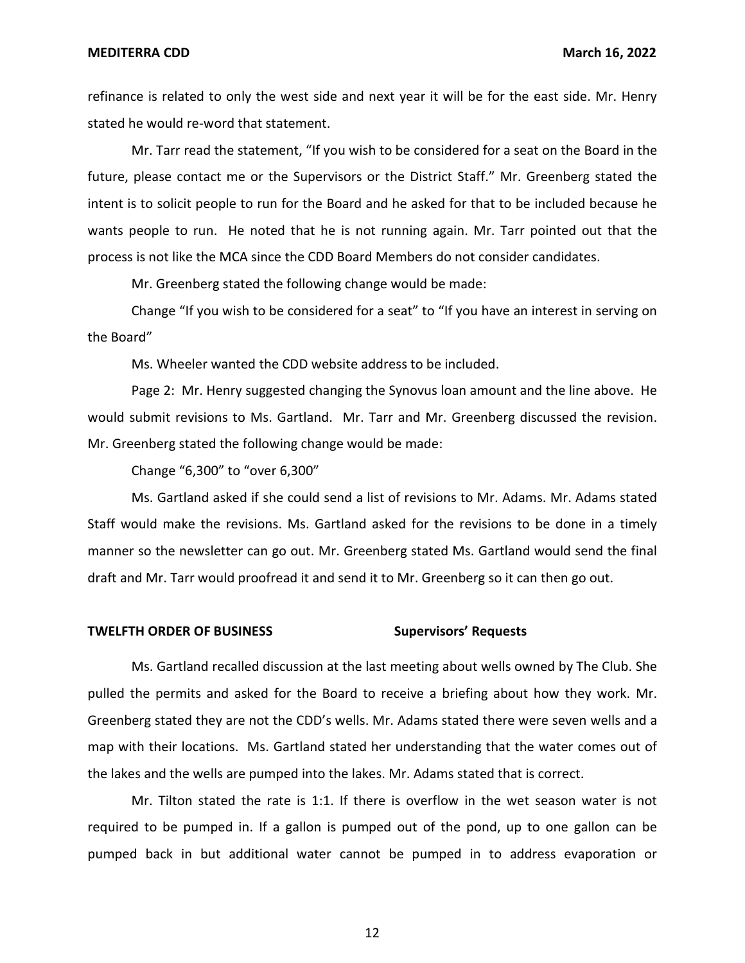refinance is related to only the west side and next year it will be for the east side. Mr. Henry stated he would re-word that statement.

Mr. Tarr read the statement, "If you wish to be considered for a seat on the Board in the future, please contact me or the Supervisors or the District Staff." Mr. Greenberg stated the intent is to solicit people to run for the Board and he asked for that to be included because he wants people to run. He noted that he is not running again. Mr. Tarr pointed out that the process is not like the MCA since the CDD Board Members do not consider candidates.

Mr. Greenberg stated the following change would be made:

Change "If you wish to be considered for a seat" to "If you have an interest in serving on the Board"

Ms. Wheeler wanted the CDD website address to be included.

Page 2: Mr. Henry suggested changing the Synovus loan amount and the line above. He would submit revisions to Ms. Gartland. Mr. Tarr and Mr. Greenberg discussed the revision. Mr. Greenberg stated the following change would be made:

Change "6,300" to "over 6,300"

Ms. Gartland asked if she could send a list of revisions to Mr. Adams. Mr. Adams stated Staff would make the revisions. Ms. Gartland asked for the revisions to be done in a timely manner so the newsletter can go out. Mr. Greenberg stated Ms. Gartland would send the final draft and Mr. Tarr would proofread it and send it to Mr. Greenberg so it can then go out.

#### **Supervisors' Requests TWELFTH ORDER OF BUSINESS**

Ms. Gartland recalled discussion at the last meeting about wells owned by The Club. She pulled the permits and asked for the Board to receive a briefing about how they work. Mr. Greenberg stated they are not the CDD's wells. Mr. Adams stated there were seven wells and a map with their locations. Ms. Gartland stated her understanding that the water comes out of the lakes and the wells are pumped into the lakes. Mr. Adams stated that is correct.

Mr. Tilton stated the rate is 1:1. If there is overflow in the wet season water is not required to be pumped in. If a gallon is pumped out of the pond, up to one gallon can be pumped back in but additional water cannot be pumped in to address evaporation or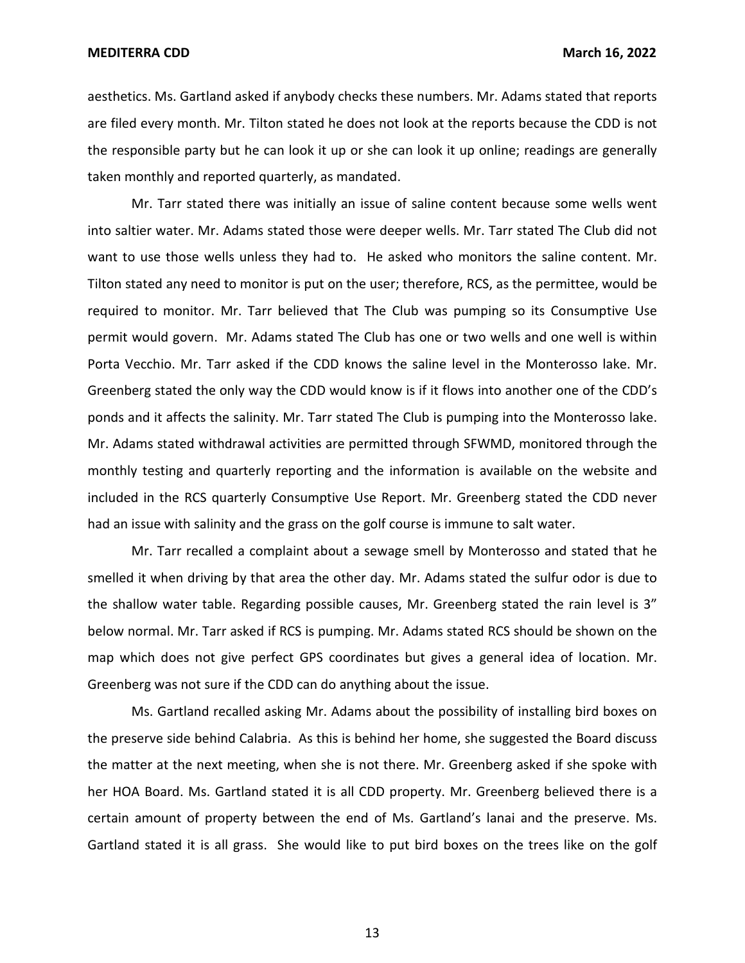aesthetics. Ms. Gartland asked if anybody checks these numbers. Mr. Adams stated that reports are filed every month. Mr. Tilton stated he does not look at the reports because the CDD is not the responsible party but he can look it up or she can look it up online; readings are generally taken monthly and reported quarterly, as mandated.

Mr. Tarr stated there was initially an issue of saline content because some wells went into saltier water. Mr. Adams stated those were deeper wells. Mr. Tarr stated The Club did not want to use those wells unless they had to. He asked who monitors the saline content. Mr. Tilton stated any need to monitor is put on the user; therefore, RCS, as the permittee, would be required to monitor. Mr. Tarr believed that The Club was pumping so its Consumptive Use permit would govern. Mr. Adams stated The Club has one or two wells and one well is within Porta Vecchio. Mr. Tarr asked if the CDD knows the saline level in the Monterosso lake. Mr. Greenberg stated the only way the CDD would know is if it flows into another one of the CDD's ponds and it affects the salinity. Mr. Tarr stated The Club is pumping into the Monterosso lake. Mr. Adams stated withdrawal activities are permitted through SFWMD, monitored through the monthly testing and quarterly reporting and the information is available on the website and included in the RCS quarterly Consumptive Use Report. Mr. Greenberg stated the CDD never had an issue with salinity and the grass on the golf course is immune to salt water.

Mr. Tarr recalled a complaint about a sewage smell by Monterosso and stated that he smelled it when driving by that area the other day. Mr. Adams stated the sulfur odor is due to the shallow water table. Regarding possible causes, Mr. Greenberg stated the rain level is 3" below normal. Mr. Tarr asked if RCS is pumping. Mr. Adams stated RCS should be shown on the map which does not give perfect GPS coordinates but gives a general idea of location. Mr. Greenberg was not sure if the CDD can do anything about the issue.

Ms. Gartland recalled asking Mr. Adams about the possibility of installing bird boxes on the preserve side behind Calabria. As this is behind her home, she suggested the Board discuss the matter at the next meeting, when she is not there. Mr. Greenberg asked if she spoke with her HOA Board. Ms. Gartland stated it is all CDD property. Mr. Greenberg believed there is a certain amount of property between the end of Ms. Gartland's lanai and the preserve. Ms. Gartland stated it is all grass. She would like to put bird boxes on the trees like on the golf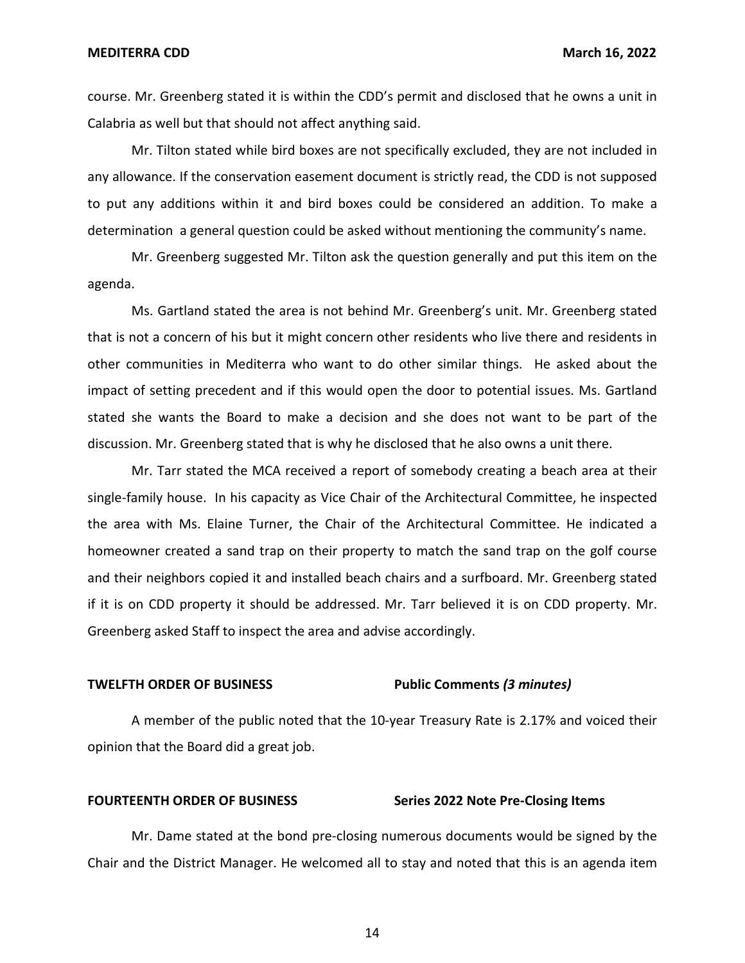course. Mr. Greenberg stated it is within the CDD's permit and disclosed that he owns a unit in Calabria as well but that should not affect anything said.

Mr. Tilton stated while bird boxes are not specifically excluded, they are not included in any allowance. If the conservation easement document is strictly read, the CDD is not supposed to put any additions within it and bird boxes could be considered an addition. To make a determination a general question could be asked without mentioning the community's name.

Mr. Greenberg suggested Mr. Tilton ask the question generally and put this item on the agenda.

Ms. Gartland stated the area is not behind Mr. Greenberg's unit. Mr. Greenberg stated that is not a concern of his but it might concern other residents who live there and residents in other communities in Mediterra who want to do other similar things. He asked about the impact of setting precedent and if this would open the door to potential issues. Ms. Gartland stated she wants the Board to make a decision and she does not want to be part of the discussion. Mr. Greenberg stated that is why he disclosed that he also owns a unit there.

Mr. Tarr stated the MCA received a report of somebody creating a beach area at their single-family house. In his capacity as Vice Chair of the Architectural Committee, he inspected the area with Ms. Elaine Turner, the Chair of the Architectural Committee. He indicated a homeowner created a sand trap on their property to match the sand trap on the golf course and their neighbors copied it and installed beach chairs and a surfboard. Mr. Greenberg stated if it is on CDD property it should be addressed. Mr. Tarr believed it is on CDD property. Mr. Greenberg asked Staff to inspect the area and advise accordingly.

#### **TWELFTH ORDER OF BUSINESS Public Comments** *(3 minutes)*

A member of the public noted that the 10-year Treasury Rate is 2.17% and voiced their opinion that the Board did a great job.

#### FOURTEENTH ORDER OF BUSINESS Series 2022 Note Pre-Closing Items

Mr. Dame stated at the bond pre-closing numerous documents would be signed by the Chair and the District Manager. He welcomed all to stay and noted that this is an agenda item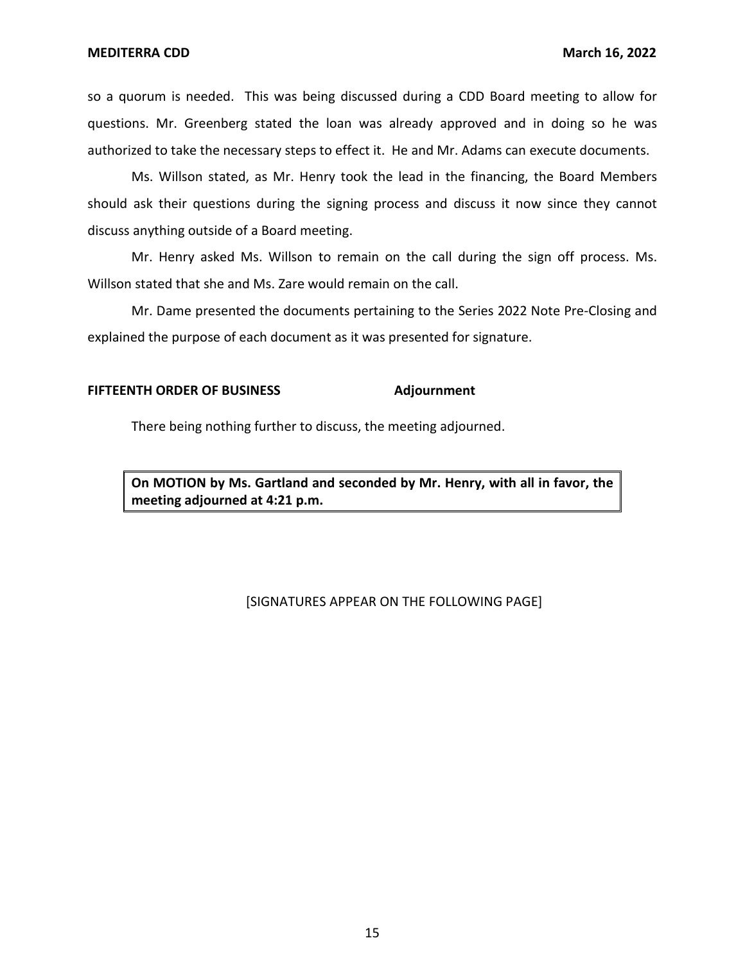so a quorum is needed. This was being discussed during a CDD Board meeting to allow for questions. Mr. Greenberg stated the loan was already approved and in doing so he was authorized to take the necessary steps to effect it. He and Mr. Adams can execute documents.

Ms. Willson stated, as Mr. Henry took the lead in the financing, the Board Members should ask their questions during the signing process and discuss it now since they cannot discuss anything outside of a Board meeting.

Mr. Henry asked Ms. Willson to remain on the call during the sign off process. Ms. Willson stated that she and Ms. Zare would remain on the call.

Mr. Dame presented the documents pertaining to the Series 2022 Note Pre-Closing and explained the purpose of each document as it was presented for signature.

#### **FIFTEENTH ORDER OF BUSINESS Adjournment**

There being nothing further to discuss, the meeting adjourned.

**On MOTION by Ms. Gartland and seconded by Mr. Henry, with all in favor, the meeting adjourned at 4:21 p.m.** 

### [SIGNATURES APPEAR ON THE FOLLOWING PAGE]